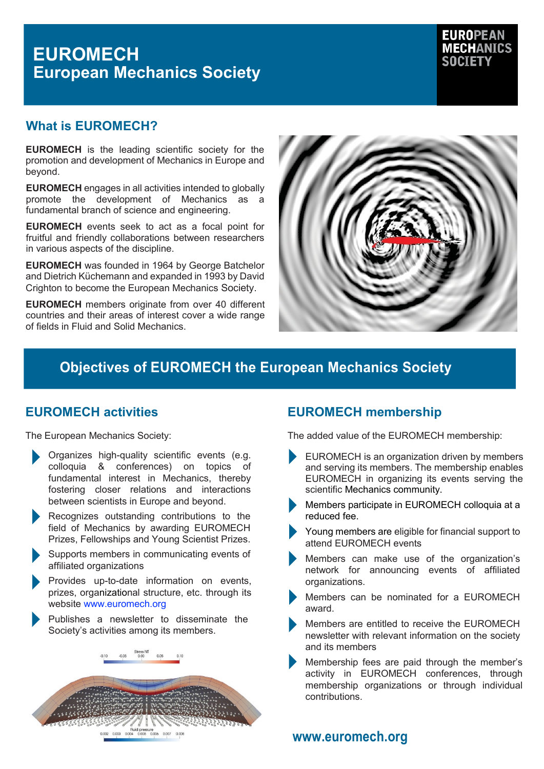# **EUROMECH European Mechanics Society**



# **What is EUROMECH?**

**EUROMECH** is the leading scientific society for the promotion and development of Mechanics in Europe and beyond.

**EUROMECH** engages in all activities intended to globally promote the development of Mechanics as a fundamental branch of science and engineering.

**EUROMECH** events seek to act as a focal point for fruitful and friendly collaborations between researchers in various aspects of the discipline.

**EUROMECH** was founded in 1964 by George Batchelor and Dietrich Küchemann and expanded in 1993 by David Crighton to become the European Mechanics Society.

**EUROMECH** members originate from over 40 different countries and their areas of interest cover a wide range of fields in Fluid and Solid Mechanics.



# **Objectives of EUROMECH the European Mechanics Society**

# **EUROMECH activities**

The European Mechanics Society:

- Organizes high-quality scientific events (e.g. colloquia & conferences) on topics of fundamental interest in Mechanics, thereby fostering closer relations and interactions between scientists in Europe and beyond.
- Recognizes outstanding contributions to the field of Mechanics by awarding EUROMECH Prizes, Fellowships and Young Scientist Prizes.
- Supports members in communicating events of affiliated organizations
- Provides up-to-date information on events, prizes, organizational structure, etc. through its website [www.euromech.org](http://www.euromech.org/)
- Publishes a newsletter to disseminate the Society's activities among its members.



# **EUROMECH membership**

The added value of the EUROMECH membership:

- EUROMECH is an organization driven by members and serving its members. The membership enables EUROMECH in organizing its events serving the scientific Mechanics community.
- Members participate in EUROMECH colloquia at a reduced fee.
- Young members are eligible for financial support to attend EUROMECH events
- Members can make use of the organization's network for announcing events of affiliated organizations.
- Members can be nominated for a EUROMECH award.
- Members are entitled to receive the EUROMECH newsletter with relevant information on the society and its members
- Membership fees are paid through the member's activity in EUROMECH conferences, through membership organizations or through individual contributions.

**[www.euromech.org](http://www.euromech.org/)**